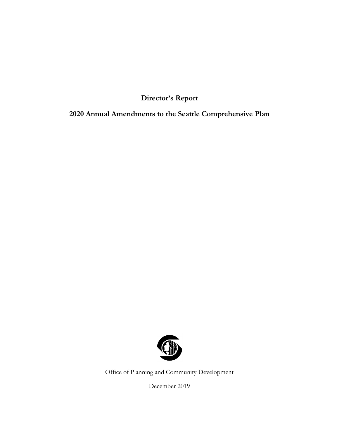**Director's Report**

**2020 Annual Amendments to the Seattle Comprehensive Plan**



Office of Planning and Community Development

December 2019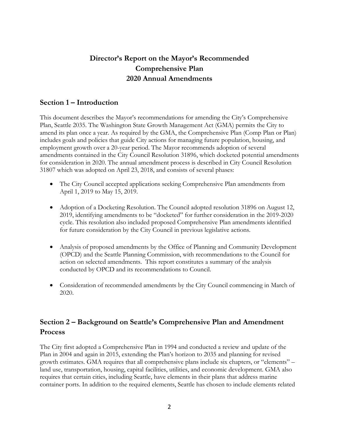# **Director's Report on the Mayor's Recommended Comprehensive Plan 2020 Annual Amendments**

## **Section 1 – Introduction**

This document describes the Mayor's recommendations for amending the City's Comprehensive Plan, Seattle 2035. The Washington State Growth Management Act (GMA) permits the City to amend its plan once a year. As required by the GMA, the Comprehensive Plan (Comp Plan or Plan) includes goals and policies that guide City actions for managing future population, housing, and employment growth over a 20-year period. The Mayor recommends adoption of several amendments contained in the City Council Resolution 31896, which docketed potential amendments for consideration in 2020. The annual amendment process is described in City Council Resolution 31807 which was adopted on April 23, 2018, and consists of several phases:

- The City Council accepted applications seeking Comprehensive Plan amendments from April 1, 2019 to May 15, 2019.
- Adoption of a Docketing Resolution. The Council adopted resolution 31896 on August 12, 2019, identifying amendments to be "docketed" for further consideration in the 2019-2020 cycle. This resolution also included proposed Comprehensive Plan amendments identified for future consideration by the City Council in previous legislative actions.
- Analysis of proposed amendments by the Office of Planning and Community Development (OPCD) and the Seattle Planning Commission, with recommendations to the Council for action on selected amendments. This report constitutes a summary of the analysis conducted by OPCD and its recommendations to Council.
- Consideration of recommended amendments by the City Council commencing in March of 2020.

# **Section 2 – Background on Seattle's Comprehensive Plan and Amendment Process**

The City first adopted a Comprehensive Plan in 1994 and conducted a review and update of the Plan in 2004 and again in 2015, extending the Plan's horizon to 2035 and planning for revised growth estimates. GMA requires that all comprehensive plans include six chapters, or "elements" – land use, transportation, housing, capital facilities, utilities, and economic development. GMA also requires that certain cities, including Seattle, have elements in their plans that address marine container ports. In addition to the required elements, Seattle has chosen to include elements related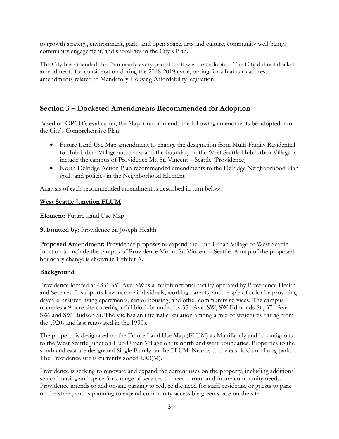to growth strategy, environment, parks and open space, arts and culture, community well-being, community engagement, and shorelines in the City's Plan.

The City has amended the Plan nearly every year since it was first adopted. The City did not docket amendments for consideration during the 2018-2019 cycle, opting for a hiatus to address amendments related to Mandatory Housing Affordability legislation.

# **Section 3 – Docketed Amendments Recommended for Adoption**

Based on OPCD's evaluation, the Mayor recommends the following amendments be adopted into the City's Comprehensive Plan:

- Future Land Use Map amendment to change the designation from Multi-Family Residential to Hub Urban Village and to expand the boundary of the West Seattle Hub Urban Village to include the campus of Providence Mt. St. Vincent – Seattle (Providence)
- North Delridge Action Plan recommended amendments to the Delridge Neighborhood Plan goals and policies in the Neighborhood Element

Analysis of each recommended amendment is described in turn below.

## **West Seattle Junction FLUM**

**Element:** Future Land Use Map

**Submitted by:** Providence St. Joseph Health

**Proposed Amendment:** Providence proposes to expand the Hub Urban Village of West Seattle Junction to include the campus of Providence Mount St. Vincent – Seattle. A map of the proposed boundary change is shown in Exhibit A.

## **Background**

Providence located at 4831 35<sup>th</sup> Ave. SW is a multifunctional facility operated by Providence Health and Services. It supports low-income individuals, working parents, and people of color by providing daycare, assisted living apartments, senior housing, and other community services. The campus occupies a 9-acre site covering a full block bounded by  $35<sup>th</sup>$  Ave. SW, SW Edmunds St.,  $37<sup>th</sup>$  Ave. SW, and SW Hudson St. The site has an internal circulation among a mix of structures dating from the 1920s and last renovated in the 1990s.

The property is designated on the Future Land Use Map (FLUM) as Multifamily and is contiguous to the West Seattle Junction Hub Urban Village on its north and west boundaries. Properties to the south and east are designated Single Family on the FLUM. Nearby to the east is Camp Long park. The Providence site is currently zoned LR3(M).

Providence is seeking to renovate and expand the current uses on the property, including additional senior housing and space for a range of services to meet current and future community needs. Providence intends to add on-site parking to reduce the need for staff, residents, or guests to park on the street, and is planning to expand community-accessible green space on the site.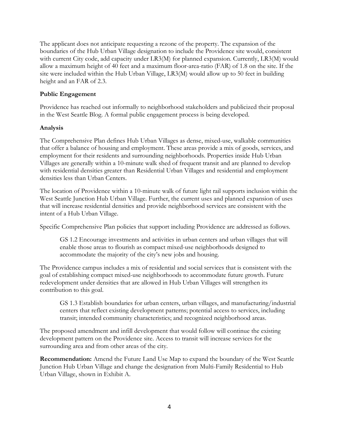The applicant does not anticipate requesting a rezone of the property. The expansion of the boundaries of the Hub Urban Village designation to include the Providence site would, consistent with current City code, add capacity under LR3(M) for planned expansion. Currently, LR3(M) would allow a maximum height of 40 feet and a maximum floor-area-ratio (FAR) of 1.8 on the site. If the site were included within the Hub Urban Village, LR3(M) would allow up to 50 feet in building height and an FAR of 2.3.

### **Public Engagement**

Providence has reached out informally to neighborhood stakeholders and publicized their proposal in the West Seattle Blog. A formal public engagement process is being developed.

## **Analysis**

The Comprehensive Plan defines Hub Urban Villages as dense, mixed-use, walkable communities that offer a balance of housing and employment. These areas provide a mix of goods, services, and employment for their residents and surrounding neighborhoods. Properties inside Hub Urban Villages are generally within a 10-minute walk shed of frequent transit and are planned to develop with residential densities greater than Residential Urban Villages and residential and employment densities less than Urban Centers.

The location of Providence within a 10-minute walk of future light rail supports inclusion within the West Seattle Junction Hub Urban Village. Further, the current uses and planned expansion of uses that will increase residential densities and provide neighborhood services are consistent with the intent of a Hub Urban Village.

Specific Comprehensive Plan policies that support including Providence are addressed as follows.

GS 1.2 Encourage investments and activities in urban centers and urban villages that will enable those areas to flourish as compact mixed-use neighborhoods designed to accommodate the majority of the city's new jobs and housing.

The Providence campus includes a mix of residential and social services that is consistent with the goal of establishing compact mixed-use neighborhoods to accommodate future growth. Future redevelopment under densities that are allowed in Hub Urban Villages will strengthen its contribution to this goal.

GS 1.3 Establish boundaries for urban centers, urban villages, and manufacturing/industrial centers that reflect existing development patterns; potential access to services, including transit; intended community characteristics; and recognized neighborhood areas.

The proposed amendment and infill development that would follow will continue the existing development pattern on the Providence site. Access to transit will increase services for the surrounding area and from other areas of the city.

**Recommendation:** Amend the Future Land Use Map to expand the boundary of the West Seattle Junction Hub Urban Village and change the designation from Multi-Family Residential to Hub Urban Village, shown in Exhibit A.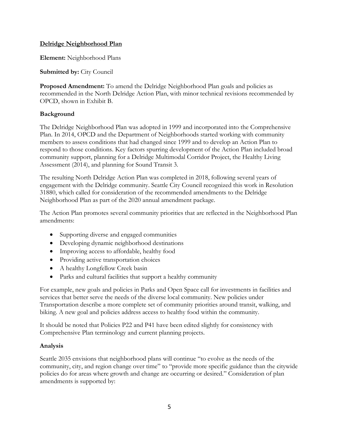## **Delridge Neighborhood Plan**

**Element:** Neighborhood Plans

**Submitted by:** City Council

**Proposed Amendment:** To amend the Delridge Neighborhood Plan goals and policies as recommended in the North Delridge Action Plan, with minor technical revisions recommended by OPCD, shown in Exhibit B.

## **Background**

The Delridge Neighborhood Plan was adopted in 1999 and incorporated into the Comprehensive Plan. In 2014, OPCD and the Department of Neighborhoods started working with community members to assess conditions that had changed since 1999 and to develop an Action Plan to respond to those conditions. Key factors spurring development of the Action Plan included broad community support, planning for a Delridge Multimodal Corridor Project, the Healthy Living Assessment (2014), and planning for Sound Transit 3.

The resulting North Delridge Action Plan was completed in 2018, following several years of engagement with the Delridge community. Seattle City Council recognized this work in Resolution 31880, which called for consideration of the recommended amendments to the Delridge Neighborhood Plan as part of the 2020 annual amendment package.

The Action Plan promotes several community priorities that are reflected in the Neighborhood Plan amendments:

- Supporting diverse and engaged communities
- Developing dynamic neighborhood destinations
- Improving access to affordable, healthy food
- Providing active transportation choices
- A healthy Longfellow Creek basin
- Parks and cultural facilities that support a healthy community

For example, new goals and policies in Parks and Open Space call for investments in facilities and services that better serve the needs of the diverse local community. New policies under Transportation describe a more complete set of community priorities around transit, walking, and biking. A new goal and policies address access to healthy food within the community.

It should be noted that Policies P22 and P41 have been edited slightly for consistency with Comprehensive Plan terminology and current planning projects.

#### **Analysis**

Seattle 2035 envisions that neighborhood plans will continue "to evolve as the needs of the community, city, and region change over time" to "provide more specific guidance than the citywide policies do for areas where growth and change are occurring or desired." Consideration of plan amendments is supported by: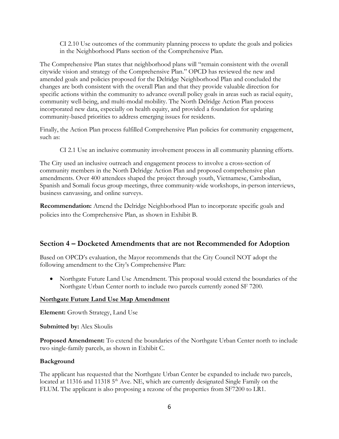CI 2.10 Use outcomes of the community planning process to update the goals and policies in the Neighborhood Plans section of the Comprehensive Plan.

The Comprehensive Plan states that neighborhood plans will "remain consistent with the overall citywide vision and strategy of the Comprehensive Plan." OPCD has reviewed the new and amended goals and policies proposed for the Delridge Neighborhood Plan and concluded the changes are both consistent with the overall Plan and that they provide valuable direction for specific actions within the community to advance overall policy goals in areas such as racial equity, community well-being, and multi-modal mobility. The North Delridge Action Plan process incorporated new data, especially on health equity, and provided a foundation for updating community-based priorities to address emerging issues for residents.

Finally, the Action Plan process fulfilled Comprehensive Plan policies for community engagement, such as:

CI 2.1 Use an inclusive community involvement process in all community planning efforts.

The City used an inclusive outreach and engagement process to involve a cross-section of community members in the North Delridge Action Plan and proposed comprehensive plan amendments. Over 400 attendees shaped the project through youth, Vietnamese, Cambodian, Spanish and Somali focus group meetings, three community-wide workshops, in-person interviews, business canvassing, and online surveys.

**Recommendation:** Amend the Delridge Neighborhood Plan to incorporate specific goals and policies into the Comprehensive Plan, as shown in Exhibit B.

## **Section 4 – Docketed Amendments that are not Recommended for Adoption**

Based on OPCD's evaluation, the Mayor recommends that the City Council NOT adopt the following amendment to the City's Comprehensive Plan:

• Northgate Future Land Use Amendment. This proposal would extend the boundaries of the Northgate Urban Center north to include two parcels currently zoned SF 7200.

## **Northgate Future Land Use Map Amendment**

**Element:** Growth Strategy, Land Use

**Submitted by:** Alex Skoulis

**Proposed Amendment:** To extend the boundaries of the Northgate Urban Center north to include two single-family parcels, as shown in Exhibit C.

## **Background**

The applicant has requested that the Northgate Urban Center be expanded to include two parcels, located at 11316 and 11318 5<sup>th</sup> Ave. NE, which are currently designated Single Family on the FLUM. The applicant is also proposing a rezone of the properties from SF7200 to LR1.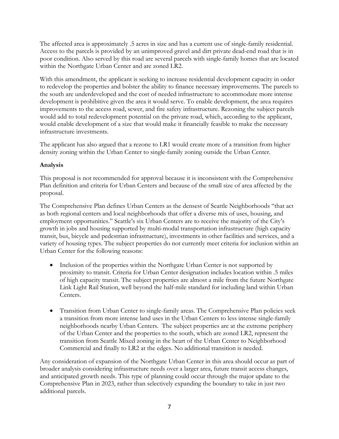The affected area is approximately .5 acres in size and has a current use of single-family residential. Access to the parcels is provided by an unimproved gravel and dirt private dead-end road that is in poor condition. Also served by this road are several parcels with single-family homes that are located within the Northgate Urban Center and are zoned LR2.

With this amendment, the applicant is seeking to increase residential development capacity in order to redevelop the properties and bolster the ability to finance necessary improvements. The parcels to the south are underdeveloped and the cost of needed infrastructure to accommodate more intense development is prohibitive given the area it would serve. To enable development, the area requires improvements to the access road, sewer, and fire safety infrastructure. Rezoning the subject parcels would add to total redevelopment potential on the private road, which, according to the applicant, would enable development of a size that would make it financially feasible to make the necessary infrastructure investments.

The applicant has also argued that a rezone to LR1 would create more of a transition from higher density zoning within the Urban Center to single-family zoning outside the Urban Center.

## **Analysis**

This proposal is not recommended for approval because it is inconsistent with the Comprehensive Plan definition and criteria for Urban Centers and because of the small size of area affected by the proposal.

The Comprehensive Plan defines Urban Centers as the densest of Seattle Neighborhoods "that act as both regional centers and local neighborhoods that offer a diverse mix of uses, housing, and employment opportunities." Seattle's six Urban Centers are to receive the majority of the City's growth in jobs and housing supported by multi-modal transportation infrastructure (high capacity transit, bus, bicycle and pedestrian infrastructure), investments in other facilities and services, and a variety of housing types. The subject properties do not currently meet criteria for inclusion within an Urban Center for the following reasons:

- Inclusion of the properties within the Northgate Urban Center is not supported by proximity to transit. Criteria for Urban Center designation includes location within .5 miles of high capacity transit. The subject properties are almost a mile from the future Northgate Link Light Rail Station, well beyond the half-mile standard for including land within Urban Centers.
- Transition from Urban Center to single-family areas. The Comprehensive Plan policies seek a transition from more intense land uses in the Urban Centers to less intense single-family neighborhoods nearby Urban Centers. The subject properties are at the extreme periphery of the Urban Center and the properties to the south, which are zoned LR2, represent the transition from Seattle Mixed zoning in the heart of the Urban Center to Neighborhood Commercial and finally to LR2 at the edges. No additional transition is needed.

Any consideration of expansion of the Northgate Urban Center in this area should occur as part of broader analysis considering infrastructure needs over a larger area, future transit access changes, and anticipated growth needs. This type of planning could occur through the major update to the Comprehensive Plan in 2023, rather than selectively expanding the boundary to take in just two additional parcels.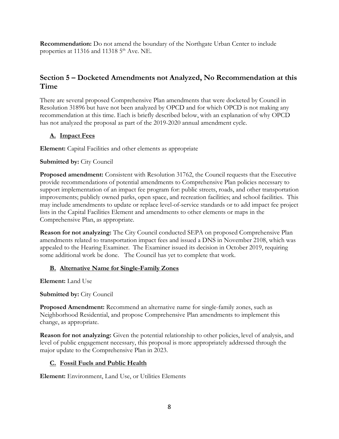**Recommendation:** Do not amend the boundary of the Northgate Urban Center to include properties at 11316 and 11318 5<sup>th</sup> Ave. NE.

# **Section 5 – Docketed Amendments not Analyzed, No Recommendation at this Time**

There are several proposed Comprehensive Plan amendments that were docketed by Council in Resolution 31896 but have not been analyzed by OPCD and for which OPCD is not making any recommendation at this time. Each is briefly described below, with an explanation of why OPCD has not analyzed the proposal as part of the 2019-2020 annual amendment cycle.

## **A. Impact Fees**

**Element:** Capital Facilities and other elements as appropriate

## **Submitted by:** City Council

**Proposed amendment:** Consistent with Resolution 31762, the Council requests that the Executive provide recommendations of potential amendments to Comprehensive Plan policies necessary to support implementation of an impact fee program for: public streets, roads, and other transportation improvements; publicly owned parks, open space, and recreation facilities; and school facilities. This may include amendments to update or replace level-of-service standards or to add impact fee project lists in the Capital Facilities Element and amendments to other elements or maps in the Comprehensive Plan, as appropriate.

**Reason for not analyzing:** The City Council conducted SEPA on proposed Comprehensive Plan amendments related to transportation impact fees and issued a DNS in November 2108, which was appealed to the Hearing Examiner. The Examiner issued its decision in October 2019, requiring some additional work be done. The Council has yet to complete that work.

## **B. Alternative Name for Single-Family Zones**

**Element:** Land Use

**Submitted by: City Council** 

**Proposed Amendment:** Recommend an alternative name for single-family zones, such as Neighborhood Residential, and propose Comprehensive Plan amendments to implement this change, as appropriate.

**Reason for not analyzing:** Given the potential relationship to other policies, level of analysis, and level of public engagement necessary, this proposal is more appropriately addressed through the major update to the Comprehensive Plan in 2023.

## **C. Fossil Fuels and Public Health**

**Element:** Environment, Land Use, or Utilities Elements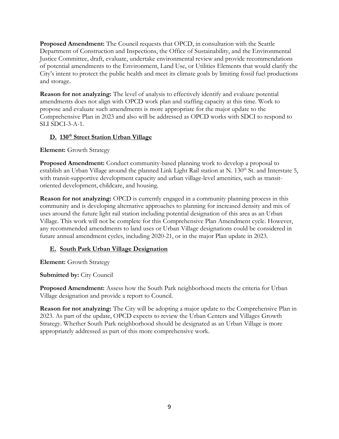**Proposed Amendment:** The Council requests that OPCD, in consultation with the Seattle Department of Construction and Inspections, the Office of Sustainability, and the Environmental Justice Committee, draft, evaluate, undertake environmental review and provide recommendations of potential amendments to the Environment, Land Use, or Utilities Elements that would clarify the City's intent to protect the public health and meet its climate goals by limiting fossil fuel productions and storage.

**Reason for not analyzing:** The level of analysis to effectively identify and evaluate potential amendments does not align with OPCD work plan and staffing capacity at this time. Work to propose and evaluate such amendments is more appropriate for the major update to the Comprehensive Plan in 2023 and also will be addressed as OPCD works with SDCI to respond to SLI SDCI-3-A-1.

## **D. 130th Street Station Urban Village**

## **Element:** Growth Strategy

**Proposed Amendment:** Conduct community-based planning work to develop a proposal to establish an Urban Village around the planned Link Light Rail station at N. 130<sup>th</sup> St. and Interstate 5, with transit-supportive development capacity and urban village-level amenities, such as transitoriented development, childcare, and housing.

**Reason for not analyzing:** OPCD is currently engaged in a community planning process in this community and is developing alternative approaches to planning for increased density and mix of uses around the future light rail station including potential designation of this area as an Urban Village. This work will not be complete for this Comprehensive Plan Amendment cycle. However, any recommended amendments to land uses or Urban Village designations could be considered in future annual amendment cycles, including 2020-21, or in the major Plan update in 2023.

## **E. South Park Urban Village Designation**

**Element:** Growth Strategy

## **Submitted by: City Council**

**Proposed Amendment:** Assess how the South Park neighborhood meets the criteria for Urban Village designation and provide a report to Council.

**Reason for not analyzing:** The City will be adopting a major update to the Comprehensive Plan in 2023. As part of the update, OPCD expects to review the Urban Centers and Villages Growth Strategy. Whether South Park neighborhood should be designated as an Urban Village is more appropriately addressed as part of this more comprehensive work.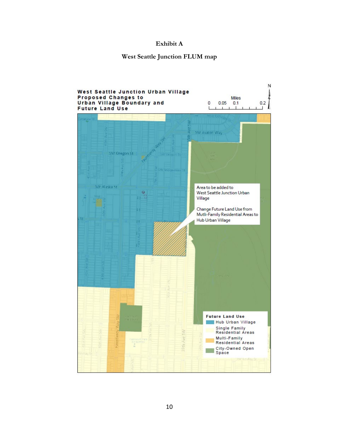#### **Exhibit A**

## **West Seattle Junction FLUM map**

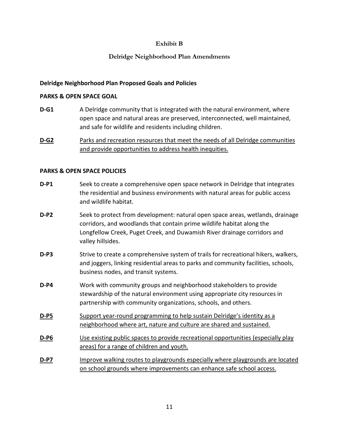### **Exhibit B**

## **Delridge Neighborhood Plan Amendments**

#### **Delridge Neighborhood Plan Proposed Goals and Policies**

#### **PARKS & OPEN SPACE GOAL**

**D-G1** A Delridge community that is integrated with the natural environment, where open space and natural areas are preserved, interconnected, well maintained, and safe for wildlife and residents including children.

**D-G2** Parks and recreation resources that meet the needs of all Delridge communities and provide opportunities to address health inequities.

#### **PARKS & OPEN SPACE POLICIES**

- **D-P1** Seek to create a comprehensive open space network in Delridge that integrates the residential and business environments with natural areas for public access and wildlife habitat.
- **D-P2** Seek to protect from development: natural open space areas, wetlands, drainage corridors, and woodlands that contain prime wildlife habitat along the Longfellow Creek, Puget Creek, and Duwamish River drainage corridors and valley hillsides.
- **D-P3** Strive to create a comprehensive system of trails for recreational hikers, walkers, and joggers, linking residential areas to parks and community facilities, schools, business nodes, and transit systems.
- **D-P4** Work with community groups and neighborhood stakeholders to provide stewardship of the natural environment using appropriate city resources in partnership with community organizations, schools, and others.
- **D-P5** Support year-round programming to help sustain Delridge's identity as a neighborhood where art, nature and culture are shared and sustained.
- **D-P6** Use existing public spaces to provide recreational opportunities (especially play areas) for a range of children and youth.
- **D-P7** Improve walking routes to playgrounds especially where playgrounds are located on school grounds where improvements can enhance safe school access.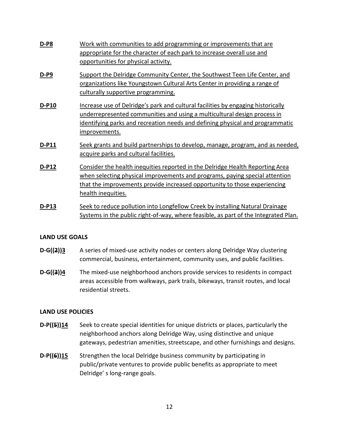| <b>D-P8</b>  | Work with communities to add programming or improvements that are<br>appropriate for the character of each park to increase overall use and<br>opportunities for physical activity.                                                                             |
|--------------|-----------------------------------------------------------------------------------------------------------------------------------------------------------------------------------------------------------------------------------------------------------------|
| $D-P9$       | Support the Delridge Community Center, the Southwest Teen Life Center, and<br>organizations like Youngstown Cultural Arts Center in providing a range of<br>culturally supportive programming.                                                                  |
| D-P10        | Increase use of Delridge's park and cultural facilities by engaging historically<br>underrepresented communities and using a multicultural design process in<br>identifying parks and recreation needs and defining physical and programmatic<br>improvements.  |
| <b>D-P11</b> | Seek grants and build partnerships to develop, manage, program, and as needed,<br>acquire parks and cultural facilities.                                                                                                                                        |
| <b>D-P12</b> | Consider the health inequities reported in the Delridge Health Reporting Area<br>when selecting physical improvements and programs, paying special attention<br>that the improvements provide increased opportunity to those experiencing<br>health inequities. |
| <b>D-P13</b> | Seek to reduce pollution into Longfellow Creek by installing Natural Drainage<br>Systems in the public right-of-way, where feasible, as part of the Integrated Plan.                                                                                            |

#### **LAND USE GOALS**

- **D-G((2))3** A series of mixed-use activity nodes or centers along Delridge Way clustering commercial, business, entertainment, community uses, and public facilities.
- **D-G((3))4** The mixed-use neighborhood anchors provide services to residents in compact areas accessible from walkways, park trails, bikeways, transit routes, and local residential streets.

#### **LAND USE POLICIES**

- **D-P((5))14** Seek to create special identities for unique districts or places, particularly the neighborhood anchors along Delridge Way, using distinctive and unique gateways, pedestrian amenities, streetscape, and other furnishings and designs.
- **D-P((6))15** Strengthen the local Delridge business community by participating in public/private ventures to provide public benefits as appropriate to meet Delridge' s long-range goals.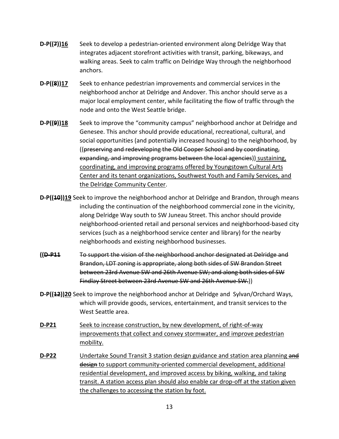- **D-P((7))16** Seek to develop a pedestrian-oriented environment along Delridge Way that integrates adjacent storefront activities with transit, parking, bikeways, and walking areas. Seek to calm traffic on Delridge Way through the neighborhood anchors.
- **D-P((8))17** Seek to enhance pedestrian improvements and commercial services in the neighborhood anchor at Delridge and Andover. This anchor should serve as a major local employment center, while facilitating the flow of traffic through the node and onto the West Seattle bridge.
- **D-P((9))18** Seek to improve the "community campus" neighborhood anchor at Delridge and Genesee. This anchor should provide educational, recreational, cultural, and social opportunities (and potentially increased housing) to the neighborhood, by ((preserving and redeveloping the Old Cooper School and by coordinating, expanding, and improving programs between the local agencies)) sustaining, coordinating, and improving programs offered by Youngstown Cultural Arts Center and its tenant organizations, Southwest Youth and Family Services, and the Delridge Community Center.
- **D-P((40))19** Seek to improve the neighborhood anchor at Delridge and Brandon, through means including the continuation of the neighborhood commercial zone in the vicinity, along Delridge Way south to SW Juneau Street. This anchor should provide neighborhood-oriented retail and personal services and neighborhood-based city services (such as a neighborhood service center and library) for the nearby neighborhoods and existing neighborhood businesses.
- **((D-P11** To support the vision of the neighborhood anchor designated at Delridge and Brandon, LDT zoning is appropriate, along both sides of SW Brandon Street between 23rd Avenue SW and 26th Avenue SW; and along both sides of SW Findlay Street between 23rd Avenue SW and 26th Avenue SW.))
- **D-P((12))20** Seek to improve the neighborhood anchor at Delridge and Sylvan/Orchard Ways, which will provide goods, services, entertainment, and transit services to the West Seattle area.
- **D-P21** Seek to increase construction, by new development, of right-of-way improvements that collect and convey stormwater, and improve pedestrian mobility.
- **D-P22** Undertake Sound Transit 3 station design guidance and station area planning and design to support community-oriented commercial development, additional residential development, and improved access by biking, walking, and taking transit. A station access plan should also enable car drop-off at the station given the challenges to accessing the station by foot.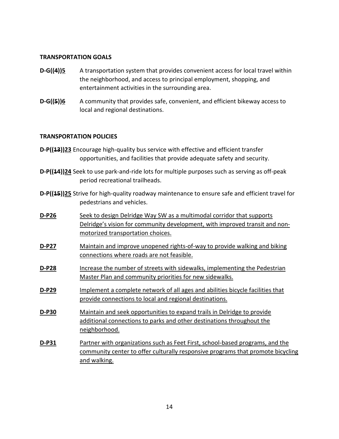#### **TRANSPORTATION GOALS**

- **D-G((4))5** A transportation system that provides convenient access for local travel within the neighborhood, and access to principal employment, shopping, and entertainment activities in the surrounding area.
- **D-G((5))6** A community that provides safe, convenient, and efficient bikeway access to local and regional destinations.

#### **TRANSPORTATION POLICIES**

- **D-P((13))23** Encourage high-quality bus service with effective and efficient transfer opportunities, and facilities that provide adequate safety and security.
- **D-P((44))24** Seek to use park-and-ride lots for multiple purposes such as serving as off-peak period recreational trailheads.
- **D-P((15))25** Strive for high-quality roadway maintenance to ensure safe and efficient travel for pedestrians and vehicles.
- **D-P26** Seek to design Delridge Way SW as a multimodal corridor that supports Delridge's vision for community development, with improved transit and nonmotorized transportation choices.
- **D-P27** Maintain and improve unopened rights-of-way to provide walking and biking connections where roads are not feasible.
- **D-P28** Increase the number of streets with sidewalks, implementing the Pedestrian Master Plan and community priorities for new sidewalks.
- **D-P29** Implement a complete network of all ages and abilities bicycle facilities that provide connections to local and regional destinations.
- **D-P30** Maintain and seek opportunities to expand trails in Delridge to provide additional connections to parks and other destinations throughout the neighborhood.
- **D-P31** Partner with organizations such as Feet First, school-based programs, and the community center to offer culturally responsive programs that promote bicycling and walking.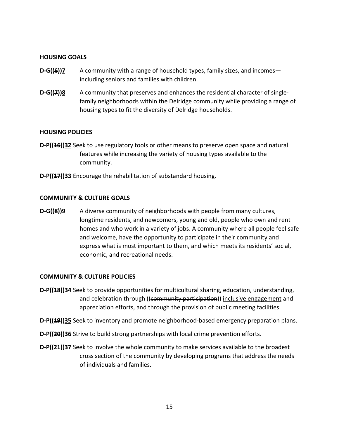#### **HOUSING GOALS**

- **D-G((6))7** A community with a range of household types, family sizes, and incomes including seniors and families with children.
- **D-G((7))8** A community that preserves and enhances the residential character of singlefamily neighborhoods within the Delridge community while providing a range of housing types to fit the diversity of Delridge households.

#### **HOUSING POLICIES**

- **D-P((16))32** Seek to use regulatory tools or other means to preserve open space and natural features while increasing the variety of housing types available to the community.
- **D-P((17))33** Encourage the rehabilitation of substandard housing.

#### **COMMUNITY & CULTURE GOALS**

**D-G((8))9** A diverse community of neighborhoods with people from many cultures, longtime residents, and newcomers, young and old, people who own and rent homes and who work in a variety of jobs. A community where all people feel safe and welcome, have the opportunity to participate in their community and express what is most important to them, and which meets its residents' social, economic, and recreational needs.

#### **COMMUNITY & CULTURE POLICIES**

- **D-P((18))34** Seek to provide opportunities for multicultural sharing, education, understanding, and celebration through ((community participation)) inclusive engagement and appreciation efforts, and through the provision of public meeting facilities.
- **D-P((19))35** Seek to inventory and promote neighborhood-based emergency preparation plans.
- **D-P((20))36** Strive to build strong partnerships with local crime prevention efforts.
- **D-P((24))37** Seek to involve the whole community to make services available to the broadest cross section of the community by developing programs that address the needs of individuals and families.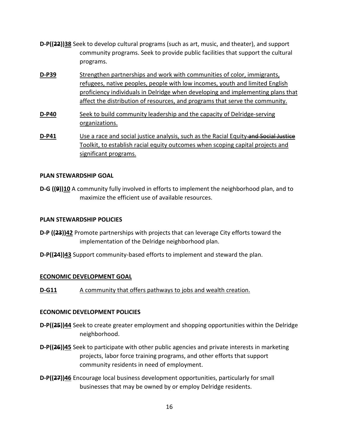- **D-P((22))38** Seek to develop cultural programs (such as art, music, and theater), and support community programs. Seek to provide public facilities that support the cultural programs.
- **D-P39** Strengthen partnerships and work with communities of color, immigrants, refugees, native peoples, people with low incomes, youth and limited English proficiency individuals in Delridge when developing and implementing plans that affect the distribution of resources, and programs that serve the community.
- **D-P40** Seek to build community leadership and the capacity of Delridge-serving organizations.
- **D-P41** Use a race and social justice analysis, such as the Racial Equity and Social Justice Toolkit, to establish racial equity outcomes when scoping capital projects and significant programs.

## **PLAN STEWARDSHIP GOAL**

**D-G ((9))10** A community fully involved in efforts to implement the neighborhood plan, and to maximize the efficient use of available resources.

#### **PLAN STEWARDSHIP POLICIES**

- **D-P ((23))42** Promote partnerships with projects that can leverage City efforts toward the implementation of the Delridge neighborhood plan.
- **D-P((24))43** Support community-based efforts to implement and steward the plan.

#### **ECONOMIC DEVELOPMENT GOAL**

**D-G11** A community that offers pathways to jobs and wealth creation.

#### **ECONOMIC DEVELOPMENT POLICIES**

- **D-P((25))44** Seek to create greater employment and shopping opportunities within the Delridge neighborhood.
- **D-P((26))45** Seek to participate with other public agencies and private interests in marketing projects, labor force training programs, and other efforts that support community residents in need of employment.
- **D-P((27))46** Encourage local business development opportunities, particularly for small businesses that may be owned by or employ Delridge residents.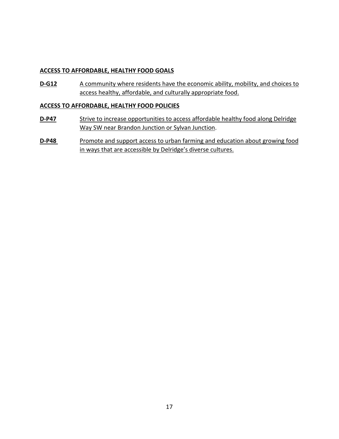### **ACCESS TO AFFORDABLE, HEALTHY FOOD GOALS**

**D-G12** A community where residents have the economic ability, mobility, and choices to access healthy, affordable, and culturally appropriate food.

#### **ACCESS TO AFFORDABLE, HEALTHY FOOD POLICIES**

- **D-P47** Strive to increase opportunities to access affordable healthy food along Delridge Way SW near Brandon Junction or Sylvan Junction.
- **D-P48** Promote and support access to urban farming and education about growing food in ways that are accessible by Delridge's diverse cultures.